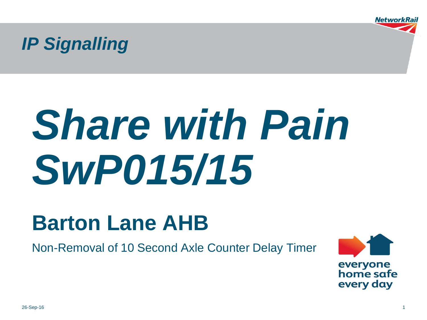*IP Signalling*

# *Share with Pain SwP015/15*

# **Barton Lane AHB**

Non-Removal of 10 Second Axle Counter Delay Timer

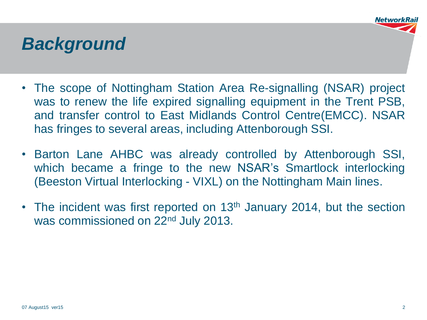### *Background*

- The scope of Nottingham Station Area Re-signalling (NSAR) project was to renew the life expired signalling equipment in the Trent PSB, and transfer control to East Midlands Control Centre(EMCC). NSAR has fringes to several areas, including Attenborough SSI.
- Barton Lane AHBC was already controlled by Attenborough SSI, which became a fringe to the new NSAR's Smartlock interlocking (Beeston Virtual Interlocking - VIXL) on the Nottingham Main lines.
- The incident was first reported on 13<sup>th</sup> January 2014, but the section was commissioned on 22<sup>nd</sup> July 2013.

**Networkl**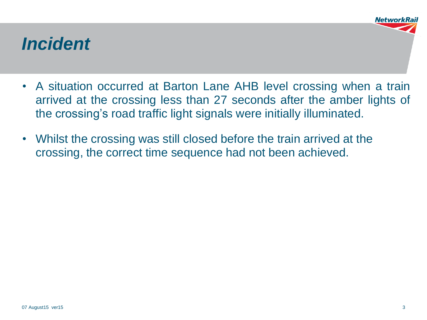### *Incident*

- A situation occurred at Barton Lane AHB level crossing when a train arrived at the crossing less than 27 seconds after the amber lights of the crossing's road traffic light signals were initially illuminated.
- Whilst the crossing was still closed before the train arrived at the crossing, the correct time sequence had not been achieved.

**NetworkR**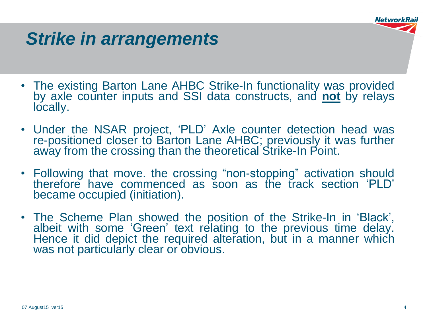

### *Strike in arrangements*

- The existing Barton Lane AHBC Strike-In functionality was provided by axle counter inputs and SSI data constructs, and **not** by relays locally.
- Under the NSAR project, 'PLD' Axle counter detection head was re-positioned closer to Barton Lane AHBC; previously it was further away from the crossing than the theoretical Strike-In Point.
- Following that move. the crossing "non-stopping" activation should therefore have commenced as soon as the track section 'PLD' became occupied (initiation).
- The Scheme Plan showed the position of the Strike-In in 'Black', albeit with some 'Green' text relating to the previous time delay. Hence it did depict the required alteration, but in a manner which was not particularly clear or obvious.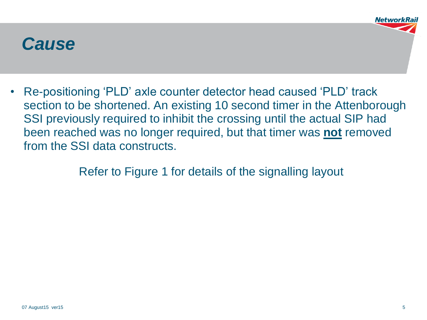### *Cause*

• Re-positioning 'PLD' axle counter detector head caused 'PLD' track section to be shortened. An existing 10 second timer in the Attenborough SSI previously required to inhibit the crossing until the actual SIP had been reached was no longer required, but that timer was **not** removed from the SSI data constructs.

Refer to Figure 1 for details of the signalling layout

**NetworkF**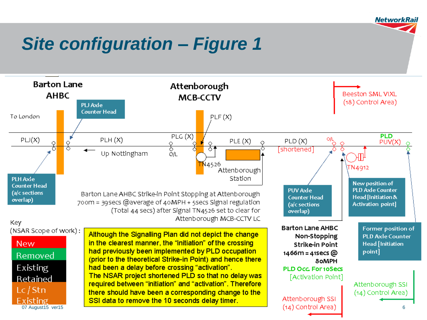## *Site configuration – Figure 1*



**NetworkRail**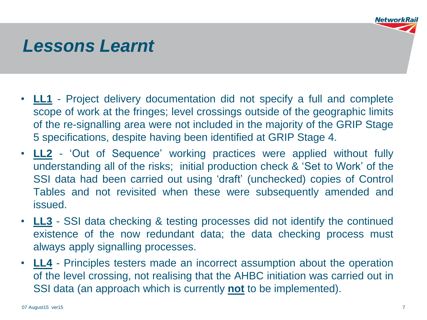

### *Lessons Learnt*

- **LL1** Project delivery documentation did not specify a full and complete scope of work at the fringes; level crossings outside of the geographic limits of the re-signalling area were not included in the majority of the GRIP Stage 5 specifications, despite having been identified at GRIP Stage 4.
- **LL2** 'Out of Sequence' working practices were applied without fully understanding all of the risks; initial production check & 'Set to Work' of the SSI data had been carried out using 'draft' (unchecked) copies of Control Tables and not revisited when these were subsequently amended and issued.
- **LL3** SSI data checking & testing processes did not identify the continued existence of the now redundant data; the data checking process must always apply signalling processes.
- **LL4** Principles testers made an incorrect assumption about the operation of the level crossing, not realising that the AHBC initiation was carried out in SSI data (an approach which is currently **not** to be implemented).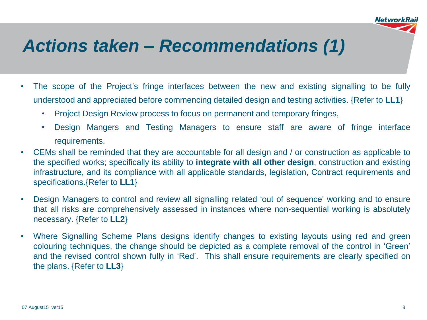### *Actions taken – Recommendations (1)*

- The scope of the Project's fringe interfaces between the new and existing signalling to be fully understood and appreciated before commencing detailed design and testing activities. {Refer to **LL1**}
	- Project Design Review process to focus on permanent and temporary fringes,
	- Design Mangers and Testing Managers to ensure staff are aware of fringe interface requirements.
- CEMs shall be reminded that they are accountable for all design and / or construction as applicable to the specified works; specifically its ability to **integrate with all other design**, construction and existing infrastructure, and its compliance with all applicable standards, legislation, Contract requirements and specifications.{Refer to **LL1**}
- Design Managers to control and review all signalling related 'out of sequence' working and to ensure that all risks are comprehensively assessed in instances where non-sequential working is absolutely necessary. {Refer to **LL2**}
- Where Signalling Scheme Plans designs identify changes to existing layouts using red and green colouring techniques, the change should be depicted as a complete removal of the control in 'Green' and the revised control shown fully in 'Red'. This shall ensure requirements are clearly specified on the plans. {Refer to **LL3**}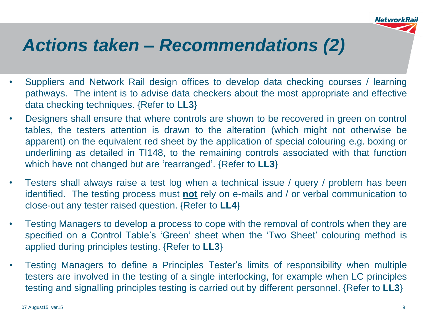

### *Actions taken – Recommendations (2)*

- Suppliers and Network Rail design offices to develop data checking courses / learning pathways. The intent is to advise data checkers about the most appropriate and effective data checking techniques. {Refer to **LL3**}
- Designers shall ensure that where controls are shown to be recovered in green on control tables, the testers attention is drawn to the alteration (which might not otherwise be apparent) on the equivalent red sheet by the application of special colouring e.g. boxing or underlining as detailed in TI148, to the remaining controls associated with that function which have not changed but are 'rearranged'. {Refer to **LL3**}
- Testers shall always raise a test log when a technical issue / query / problem has been identified. The testing process must **not** rely on e-mails and / or verbal communication to close-out any tester raised question. {Refer to **LL4**}
- Testing Managers to develop a process to cope with the removal of controls when they are specified on a Control Table's 'Green' sheet when the 'Two Sheet' colouring method is applied during principles testing. {Refer to **LL3**}
- Testing Managers to define a Principles Tester's limits of responsibility when multiple testers are involved in the testing of a single interlocking, for example when LC principles testing and signalling principles testing is carried out by different personnel. {Refer to **LL3**}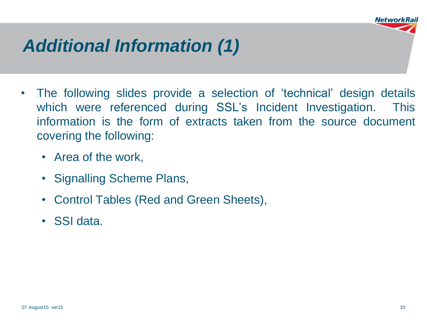

# *Additional Information (1)*

- The following slides provide a selection of 'technical' design details which were referenced during SSL's Incident Investigation. This information is the form of extracts taken from the source document covering the following:
	- Area of the work,
	- Signalling Scheme Plans,
	- Control Tables (Red and Green Sheets),
	- SSI data.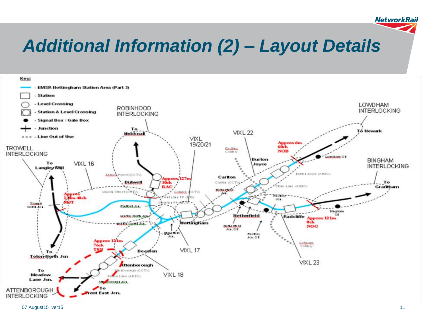# *Additional Information (2) – Layout Details*



07 August15 ver15 11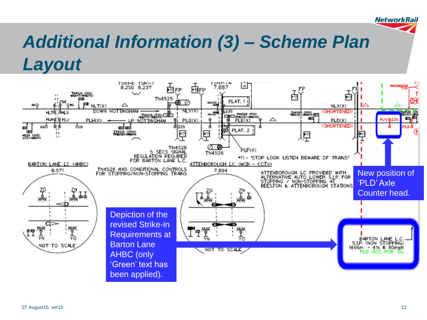### *Additional Information (3) – Scheme Plan Layout*

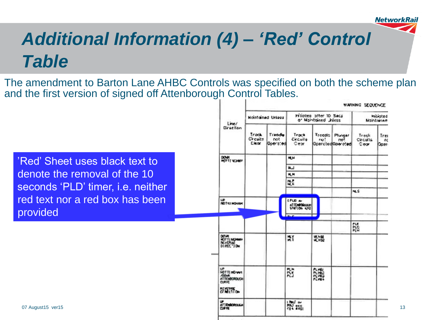13

## *Additional Information (4) – 'Red' Control Table*

The amendment to Barton Lane AHBC Controls was specified on both the scheme plan and the first version of signed off Attenborough Control Tables.

'Red' Sheet uses black text to denote the removal of the 10 seconds 'PLD' timer, i.e. neither red text nor a red box has been provided

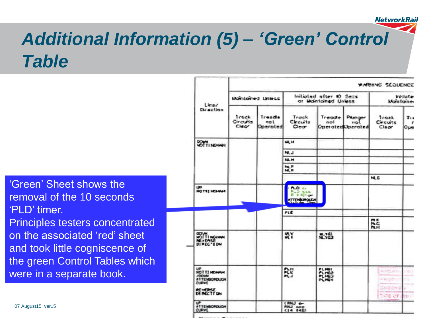## *Additional Information (5) – 'Green' Control Table*

'Green' Sheet shows the removal of the 10 seconds 'PLD' timer. Principles testers concentrated on the associated 'red' sheet and took little cogniscence of the green Control Tables which were in a separate book.

| Lime/<br>Dir ection                                                                            | <b>PARTHYS SEQUENCE</b>    |                           |                                                      |                                           |                      |                              |                 |
|------------------------------------------------------------------------------------------------|----------------------------|---------------------------|------------------------------------------------------|-------------------------------------------|----------------------|------------------------------|-----------------|
|                                                                                                | Montained Unless           |                           | Initiated after 10 Secs<br>or Montained Unless       |                                           |                      | <b>Iniciate</b><br>klantaine |                 |
|                                                                                                | Trock<br>Circuits<br>Chech | Treade<br>not<br>Operated | Track<br>Clecuits<br>Clear                           | Treade<br>001<br><b>Operated Operated</b> | Pamger<br><b>HOL</b> | Track.<br>Circuits<br>Clear  | 7.,<br>r<br>Ope |
| <b>SYTTINGHAM</b>                                                                              |                            |                           | <b>u</b>                                             |                                           |                      |                              |                 |
|                                                                                                |                            |                           | NJ.J                                                 |                                           |                      |                              |                 |
|                                                                                                |                            |                           | <b>M.H</b>                                           |                                           |                      |                              |                 |
|                                                                                                |                            |                           | <b>NLP</b><br><b>NLR</b>                             |                                           |                      |                              |                 |
|                                                                                                |                            |                           |                                                      |                                           |                      | <b>MLE</b>                   |                 |
| <b>UP</b><br>HOTTE HOMA                                                                        |                            |                           | <b>NO CI</b><br>نه ددد.<br>E161<br>ATTEMPORTAL<br>a. |                                           |                      |                              |                 |
|                                                                                                |                            |                           | <b>FLE</b>                                           |                                           |                      |                              |                 |
|                                                                                                |                            |                           |                                                      |                                           |                      | m F<br>ÃĤ                    |                 |
| <b>DEPLAN</b><br>WOTTINGHAM                                                                    |                            |                           | ٣ĭ                                                   | 地體                                        |                      |                              |                 |
| ïΘ.<br><b>MOTTI HEGHAM</b><br><b>JOONN</b><br><b>ATTEMBORDUON</b><br>CLERVE<br><b>DE YOUSE</b> |                            |                           | Ñ                                                    | <b>FLMBI</b><br>PL1922<br>PLI493<br>PLME4 |                      | 直肠后的<br>HRODS<br>CHEOVE      | <b>MY</b>       |
| ಲ್<br><b>ATTEMBOROUGH</b><br><b>OURVE</b>                                                      |                            |                           | <b>CRNJ</b> er<br><b>RNJ</b> DOC                     |                                           |                      | NOE OF                       | Strift          |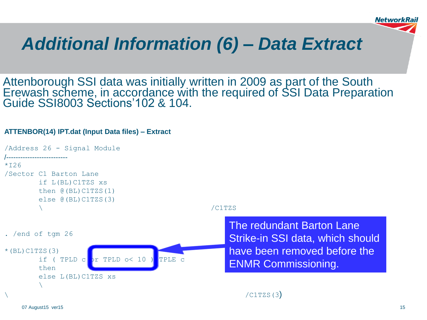

### *Additional Information (6) – Data Extract*

Attenborough SSI data was initially written in 2009 as part of the South Erewash scheme, in accordance with the required of SSI Data Preparation Guide SSI8003 Sections'102 & 104.

### **ATTENBOR(14) IPT.dat (Input Data files) – Extract**